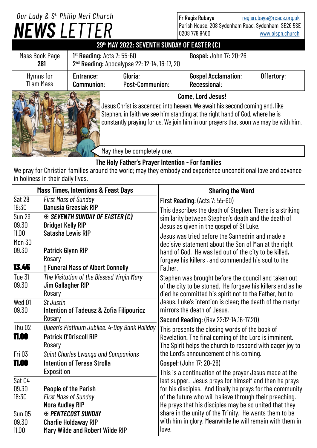## **Come, Lord Jesus!** Jesus Christ is ascended into heaven. We await his second coming and, like Stephen, in faith we see him standing at the right hand of God, where he is constantly praying for us. We join him in our prayers that soon we may be with him. *NEWS LETTER Our Lady & S t. Philip Neri Church* **29th MAY 2022: SEVENTH SUNDAY OF EASTER (C)** Fr Regis Rubaya [regisrubaya@rcaos.org.uk](mailto:regisrubaya@rcaos.org.uk) Parish House, 208 Sydenham Road, Sydenham, SE26 5SE 0208 778 9460 [www.olspn.church](http://www.olspn.church) May they be completely one. Mass Book Page **281** 1<sup>st</sup> Reading: Acts 7: 55-60 **Gospel:** John 17: 20-26 2 nd Reading: Apocalypse 22: 12-14, 16-17, 20 Entrance: Gloria: Gospel Acclamation: Offertory: Communion: Post-Communion: Recessional: Hymns for 11 am Mass

## **The Holy Father's Prayer Intention - For families**

We pray for Christian families around the world; may they embody and experience unconditional love and advance in holiness in their daily lives.

| <b>Mass Times, Intentions &amp; Feast Days</b> |                                                                                                                           | <b>Sharing the Word</b>                                                                                                                                                                                                                                                                                                                                                                                                                   |
|------------------------------------------------|---------------------------------------------------------------------------------------------------------------------------|-------------------------------------------------------------------------------------------------------------------------------------------------------------------------------------------------------------------------------------------------------------------------------------------------------------------------------------------------------------------------------------------------------------------------------------------|
| Sat 28<br>18:30<br><b>Sun 29</b><br>09.30      | <b>First Mass of Sunday</b><br>Danusia Grzesiak RIP<br><b>EX SEVENTH SUNDAY OF EASTER (C)</b><br><b>Bridget Kelly RIP</b> | <b>First Reading: (Acts 7: 55-60)</b><br>This describes the death of Stephen. There is a striking<br>similarity between Stephen's death and the death of<br>Jesus as given in the gospel of St Luke.<br>Jesus was tried before the Sanhedrin and made a<br>decisive statement about the Son of Man at the right<br>hand of God. He was led out of the city to be killed,<br>forgave his killers, and commended his soul to the<br>Father. |
| 11.00<br><b>Mon 30</b><br>09.30<br>13.45       | Satasha Lewis RIP<br><b>Patrick Glynn RIP</b><br>Rosary<br><b>† Funeral Mass of Albert Donnelly</b>                       |                                                                                                                                                                                                                                                                                                                                                                                                                                           |
| Tue 31<br>09.30                                | The Visitation of the Blessed Virgin Mary<br>Jim Gallagher RIP<br>Rosary                                                  | Stephen was brought before the council and taken out<br>of the city to be stoned. He forgave his killers and as he<br>died he committed his spirit not to the Father, but to                                                                                                                                                                                                                                                              |
| Wed 01<br>09.30                                | St Justin<br>Intention of Tadeusz & Zofia Filipouricz<br>Rosary                                                           | Jesus. Luke's intention is clear; the death of the martyr<br>mirrors the death of Jesus.<br>Second Reading: (Rev 22:12-14,16-17.20)                                                                                                                                                                                                                                                                                                       |
| <b>Thu 02</b><br>11.00                         | Queen's Platinum Jubilee: 4-Day Bank Holiday<br><b>Patrick O'Driscoll RIP</b><br>Rosary                                   | This presents the closing words of the book of<br>Revelation. The final coming of the Lord is imminent.<br>The Spirit helps the church to respond with eager joy to                                                                                                                                                                                                                                                                       |
| Fri 03<br>11.00                                | Saint Charles Lwanga and Companions<br><b>Intention of Teresa Strolla</b><br>Exposition                                   | the Lord's announcement of his coming.<br>Gospel: (John 17: 20-26)<br>This is a continuation of the prayer Jesus made at the                                                                                                                                                                                                                                                                                                              |
| Sat 04<br>09.30<br>18:30                       | People of the Parish<br><b>First Mass of Sunday</b><br><b>Nora Audley RIP</b>                                             | last supper. Jesus prays for himself and then he prays<br>for his disciples. And finally he prays for the community<br>of the future who will believe through their preaching.<br>He prays that his disciples may be so united that they<br>share in the unity of the Trinity. He wants them to be<br>with him in glory. Meanwhile he will remain with them in<br>love.                                                                   |
| <b>Sun 05</b><br>09.30<br>11.00                | <b>EX PENTECOST SUNDAY</b><br><b>Charlie Holdaway RIP</b><br>Mary Wilde and Robert Wilde RIP                              |                                                                                                                                                                                                                                                                                                                                                                                                                                           |